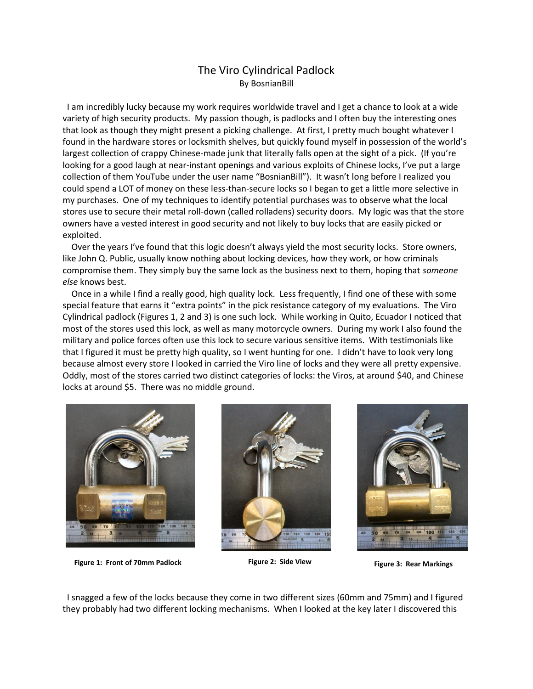## The Viro Cylindrical Padlock By BosnianBill

 I am incredibly lucky because my work requires worldwide travel and I get a chance to look at a wide variety of high security products. My passion though, is padlocks and I often buy the interesting ones that look as though they might present a picking challenge. At first, I pretty much bought whatever I found in the hardware stores or locksmith shelves, but quickly found myself in possession of the world's largest collection of crappy Chinese-made junk that literally falls open at the sight of a pick. (If you're looking for a good laugh at near-instant openings and various exploits of Chinese locks, I've put a large collection of them YouTube under the user name "BosnianBill"). It wasn't long before I realized you could spend a LOT of money on these less-than-secure locks so I began to get a little more selective in my purchases. One of my techniques to identify potential purchases was to observe what the local stores use to secure their metal roll-down (called rolladens) security doors. My logic was that the store owners have a vested interest in good security and not likely to buy locks that are easily picked or exploited.

 Over the years I've found that this logic doesn't always yield the most security locks. Store owners, like John Q. Public, usually know nothing about locking devices, how they work, or how criminals compromise them. They simply buy the same lock as the business next to them, hoping that *someone else* knows best.

 Once in a while I find a really good, high quality lock. Less frequently, I find one of these with some special feature that earns it "extra points" in the pick resistance category of my evaluations. The Viro Cylindrical padlock (Figures 1, 2 and 3) is one such lock. While working in Quito, Ecuador I noticed that most of the stores used this lock, as well as many motorcycle owners. During my work I also found the military and police forces often use this lock to secure various sensitive items. With testimonials like that I figured it must be pretty high quality, so I went hunting for one. I didn't have to look very long because almost every store I looked in carried the Viro line of locks and they were all pretty expensive. Oddly, most of the stores carried two distinct categories of locks: the Viros, at around \$40, and Chinese locks at around \$5. There was no middle ground.



**Figure 1: Front of 70mm Padlock Figure 2: Side View Figure 3: Rear Markings**





 I snagged a few of the locks because they come in two different sizes (60mm and 75mm) and I figured they probably had two different locking mechanisms. When I looked at the key later I discovered this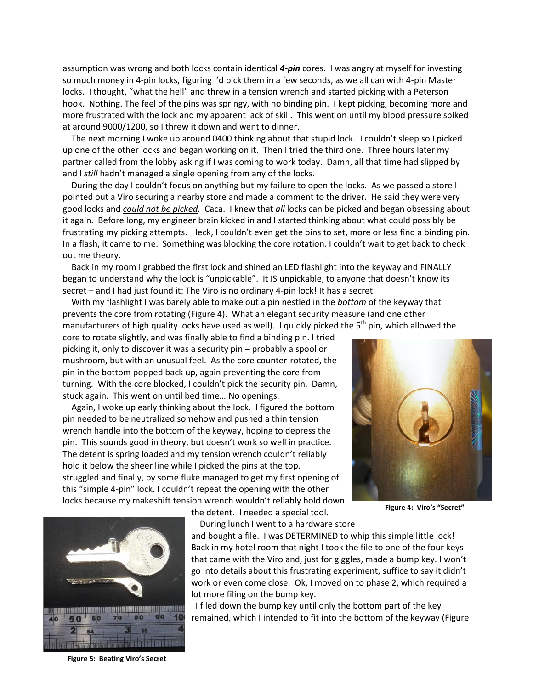assumption was wrong and both locks contain identical *4-pin* cores. I was angry at myself for investing so much money in 4-pin locks, figuring I'd pick them in a few seconds, as we all can with 4-pin Master locks. I thought, "what the hell" and threw in a tension wrench and started picking with a Peterson hook. Nothing. The feel of the pins was springy, with no binding pin. I kept picking, becoming more and more frustrated with the lock and my apparent lack of skill. This went on until my blood pressure spiked at around 9000/1200, so I threw it down and went to dinner.

 The next morning I woke up around 0400 thinking about that stupid lock. I couldn't sleep so I picked up one of the other locks and began working on it. Then I tried the third one. Three hours later my partner called from the lobby asking if I was coming to work today. Damn, all that time had slipped by and I *still* hadn't managed a single opening from any of the locks.

 During the day I couldn't focus on anything but my failure to open the locks. As we passed a store I pointed out a Viro securing a nearby store and made a comment to the driver. He said they were very good locks and *could not be picked.* Caca. I knew that *all* locks can be picked and began obsessing about it again. Before long, my engineer brain kicked in and I started thinking about what could possibly be frustrating my picking attempts. Heck, I couldn't even get the pins to set, more or less find a binding pin. In a flash, it came to me. Something was blocking the core rotation. I couldn't wait to get back to check out me theory.

 Back in my room I grabbed the first lock and shined an LED flashlight into the keyway and FINALLY began to understand why the lock is "unpickable". It IS unpickable, to anyone that doesn't know its secret – and I had just found it: The Viro is no ordinary 4-pin lock! It has a secret.

 With my flashlight I was barely able to make out a pin nestled in the *bottom* of the keyway that prevents the core from rotating (Figure 4). What an elegant security measure (and one other manufacturers of high quality locks have used as well). I quickly picked the 5<sup>th</sup> pin, which allowed the

core to rotate slightly, and was finally able to find a binding pin. I tried picking it, only to discover it was a security pin – probably a spool or mushroom, but with an unusual feel. As the core counter-rotated, the pin in the bottom popped back up, again preventing the core from turning. With the core blocked, I couldn't pick the security pin. Damn, stuck again. This went on until bed time… No openings.

 Again, I woke up early thinking about the lock. I figured the bottom pin needed to be neutralized somehow and pushed a thin tension wrench handle into the bottom of the keyway, hoping to depress the pin. This sounds good in theory, but doesn't work so well in practice. The detent is spring loaded and my tension wrench couldn't reliably hold it below the sheer line while I picked the pins at the top. I struggled and finally, by some fluke managed to get my first opening of this "simple 4-pin" lock. I couldn't repeat the opening with the other locks because my makeshift tension wrench wouldn't reliably hold down

**Figure 4: Viro's "Secret"**



the detent. I needed a special tool.

During lunch I went to a hardware store

and bought a file. I was DETERMINED to whip this simple little lock! Back in my hotel room that night I took the file to one of the four keys that came with the Viro and, just for giggles, made a bump key. I won't go into details about this frustrating experiment, suffice to say it didn't work or even come close. Ok, I moved on to phase 2, which required a lot more filing on the bump key.

 I filed down the bump key until only the bottom part of the key remained, which I intended to fit into the bottom of the keyway (Figure

**Figure 5: Beating Viro's Secret**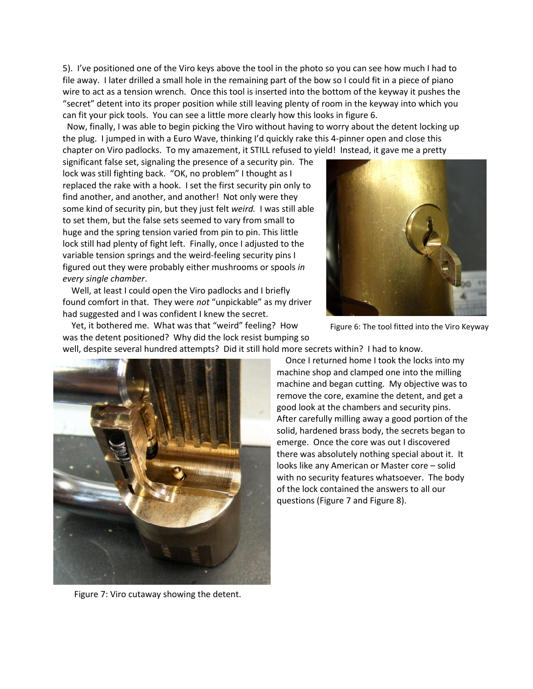5). I've positioned one of the Viro keys above the tool in the photo so you can see how much I had to file away. I later drilled a small hole in the remaining part of the bow so I could fit in a piece of piano wire to act as a tension wrench. Once this tool is inserted into the bottom of the keyway it pushes the "secret" detent into its proper position while still leaving plenty of room in the keyway into which you can fit your pick tools. You can see a little more clearly how this looks in figure 6.

 Now, finally, I was able to begin picking the Viro without having to worry about the detent locking up the plug. I jumped in with a Euro Wave, thinking I'd quickly rake this 4-pinner open and close this chapter on Viro padlocks. To my amazement, it STILL refused to yield! Instead, it gave me a pretty

significant false set, signaling the presence of a security pin. The lock was still fighting back. "OK, no problem" I thought as I replaced the rake with a hook. I set the first security pin only to find another, and another, and another! Not only were they some kind of security pin, but they just felt *weird.* I was still able to set them, but the false sets seemed to vary from small to huge and the spring tension varied from pin to pin. This little lock still had plenty of fight left. Finally, once I adjusted to the variable tension springs and the weird-feeling security pins I figured out they were probably either mushrooms or spools *in every single chamber*.

 Well, at least I could open the Viro padlocks and I briefly found comfort in that. They were *not* "unpickable" as my driver had suggested and I was confident I knew the secret.

 Yet, it bothered me. What was that "weird" feeling? How was the detent positioned? Why did the lock resist bumping so



Figure 6: The tool fitted into the Viro Keyway

well, despite several hundred attempts? Did it still hold more secrets within? I had to know.



Figure 7: Viro cutaway showing the detent.

 Once I returned home I took the locks into my machine shop and clamped one into the milling machine and began cutting. My objective was to remove the core, examine the detent, and get a good look at the chambers and security pins. After carefully milling away a good portion of the solid, hardened brass body, the secrets began to emerge. Once the core was out I discovered there was absolutely nothing special about it. It looks like any American or Master core – solid with no security features whatsoever. The body of the lock contained the answers to all our questions (Figure 7 and Figure 8).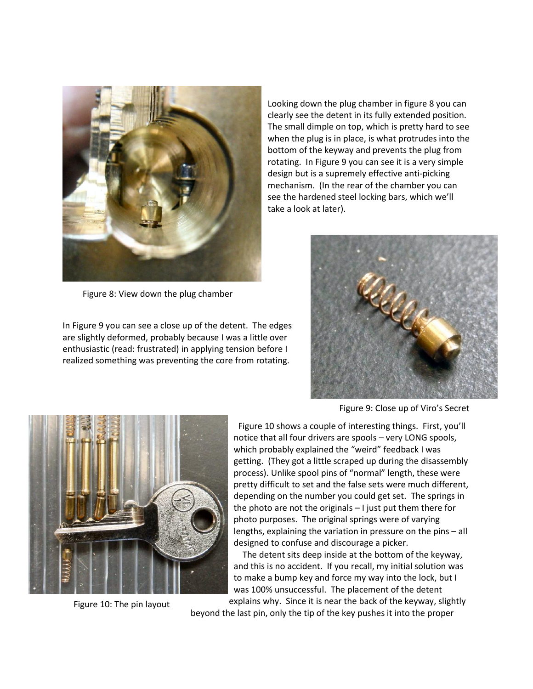

Figure 8: View down the plug chamber

In Figure 9 you can see a close up of the detent. The edges are slightly deformed, probably because I was a little over enthusiastic (read: frustrated) in applying tension before I realized something was preventing the core from rotating.

Looking down the plug chamber in figure 8 you can clearly see the detent in its fully extended position. The small dimple on top, which is pretty hard to see when the plug is in place, is what protrudes into the bottom of the keyway and prevents the plug from rotating. In Figure 9 you can see it is a very simple design but is a supremely effective anti-picking mechanism. (In the rear of the chamber you can see the hardened steel locking bars, which we'll take a look at later).



Figure 9: Close up of Viro's Secret



Figure 10: The pin layout

 Figure 10 shows a couple of interesting things. First, you'll notice that all four drivers are spools – very LONG spools, which probably explained the "weird" feedback I was getting. (They got a little scraped up during the disassembly process). Unlike spool pins of "normal" length, these were pretty difficult to set and the false sets were much different, depending on the number you could get set. The springs in the photo are not the originals – I just put them there for photo purposes. The original springs were of varying lengths, explaining the variation in pressure on the pins – all designed to confuse and discourage a picker.

 The detent sits deep inside at the bottom of the keyway, and this is no accident. If you recall, my initial solution was to make a bump key and force my way into the lock, but I was 100% unsuccessful. The placement of the detent explains why. Since it is near the back of the keyway, slightly

beyond the last pin, only the tip of the key pushes it into the proper